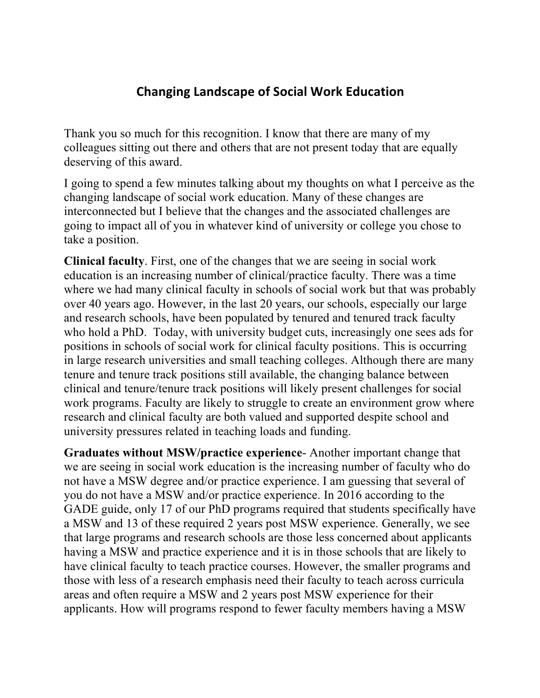## **Changing Landscape of Social Work Education**

Thank you so much for this recognition. I know that there are many of my colleagues sitting out there and others that are not present today that are equally deserving of this award.

I going to spend a few minutes talking about my thoughts on what I perceive as the changing landscape of social work education. Many of these changes are interconnected but I believe that the changes and the associated challenges are going to impact all of you in whatever kind of university or college you chose to take a position.

**Clinical faculty**. First, one of the changes that we are seeing in social work education is an increasing number of clinical/practice faculty. There was a time where we had many clinical faculty in schools of social work but that was probably over 40 years ago. However, in the last 20 years, our schools, especially our large and research schools, have been populated by tenured and tenured track faculty who hold a PhD. Today, with university budget cuts, increasingly one sees ads for positions in schools of social work for clinical faculty positions. This is occurring in large research universities and small teaching colleges. Although there are many tenure and tenure track positions still available, the changing balance between clinical and tenure/tenure track positions will likely present challenges for social work programs. Faculty are likely to struggle to create an environment grow where research and clinical faculty are both valued and supported despite school and university pressures related in teaching loads and funding.

**Graduates without MSW/practice experience**- Another important change that we are seeing in social work education is the increasing number of faculty who do not have a MSW degree and/or practice experience. I am guessing that several of you do not have a MSW and/or practice experience. In 2016 according to the GADE guide, only 17 of our PhD programs required that students specifically have a MSW and 13 of these required 2 years post MSW experience. Generally, we see that large programs and research schools are those less concerned about applicants having a MSW and practice experience and it is in those schools that are likely to have clinical faculty to teach practice courses. However, the smaller programs and those with less of a research emphasis need their faculty to teach across curricula areas and often require a MSW and 2 years post MSW experience for their applicants. How will programs respond to fewer faculty members having a MSW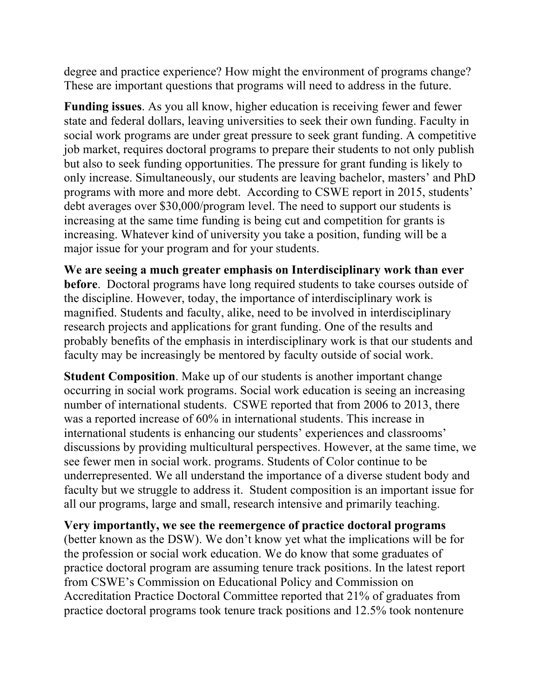degree and practice experience? How might the environment of programs change? These are important questions that programs will need to address in the future.

**Funding issues**. As you all know, higher education is receiving fewer and fewer state and federal dollars, leaving universities to seek their own funding. Faculty in social work programs are under great pressure to seek grant funding. A competitive job market, requires doctoral programs to prepare their students to not only publish but also to seek funding opportunities. The pressure for grant funding is likely to only increase. Simultaneously, our students are leaving bachelor, masters' and PhD programs with more and more debt. According to CSWE report in 2015, students' debt averages over \$30,000/program level. The need to support our students is increasing at the same time funding is being cut and competition for grants is increasing. Whatever kind of university you take a position, funding will be a major issue for your program and for your students.

**We are seeing a much greater emphasis on Interdisciplinary work than ever before**. Doctoral programs have long required students to take courses outside of the discipline. However, today, the importance of interdisciplinary work is magnified. Students and faculty, alike, need to be involved in interdisciplinary research projects and applications for grant funding. One of the results and probably benefits of the emphasis in interdisciplinary work is that our students and faculty may be increasingly be mentored by faculty outside of social work.

**Student Composition**. Make up of our students is another important change occurring in social work programs. Social work education is seeing an increasing number of international students. CSWE reported that from 2006 to 2013, there was a reported increase of 60% in international students. This increase in international students is enhancing our students' experiences and classrooms' discussions by providing multicultural perspectives. However, at the same time, we see fewer men in social work. programs. Students of Color continue to be underrepresented. We all understand the importance of a diverse student body and faculty but we struggle to address it. Student composition is an important issue for all our programs, large and small, research intensive and primarily teaching.

**Very importantly, we see the reemergence of practice doctoral programs** (better known as the DSW). We don't know yet what the implications will be for the profession or social work education. We do know that some graduates of practice doctoral program are assuming tenure track positions. In the latest report from CSWE's Commission on Educational Policy and Commission on Accreditation Practice Doctoral Committee reported that 21% of graduates from practice doctoral programs took tenure track positions and 12.5% took nontenure